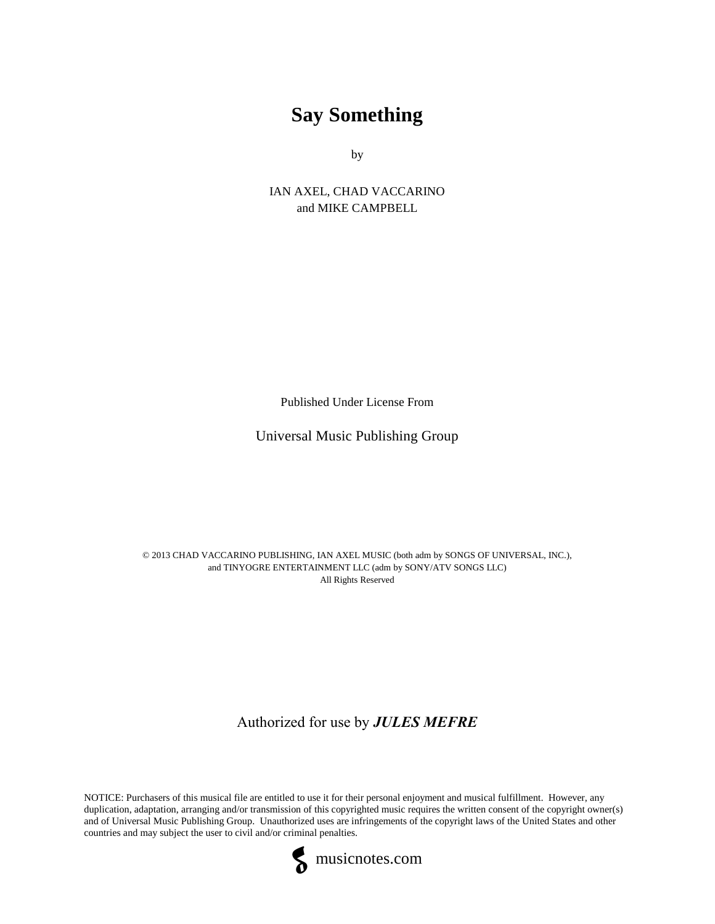## **Say Something**

by

IAN AXEL, CHAD VACCARINO and MIKE CAMPBELL

Published Under License From

## Universal Music Publishing Group

© 2013 CHAD VACCARINO PUBLISHING, IAN AXEL MUSIC (both adm by SONGS OF UNIVERSAL, INC.), and TINYOGRE ENTERTAINMENT LLC (adm by SONY/ATV SONGS LLC) All Rights Reserved

## Authorized for use by *JULES MEFRE*

NOTICE: Purchasers of this musical file are entitled to use it for their personal enjoyment and musical fulfillment. However, any duplication, adaptation, arranging and/or transmission of this copyrighted music requires the written consent of the copyright owner(s) and of Universal Music Publishing Group. Unauthorized uses are infringements of the copyright laws of the United States and other countries and may subject the user to civil and/or criminal penalties.

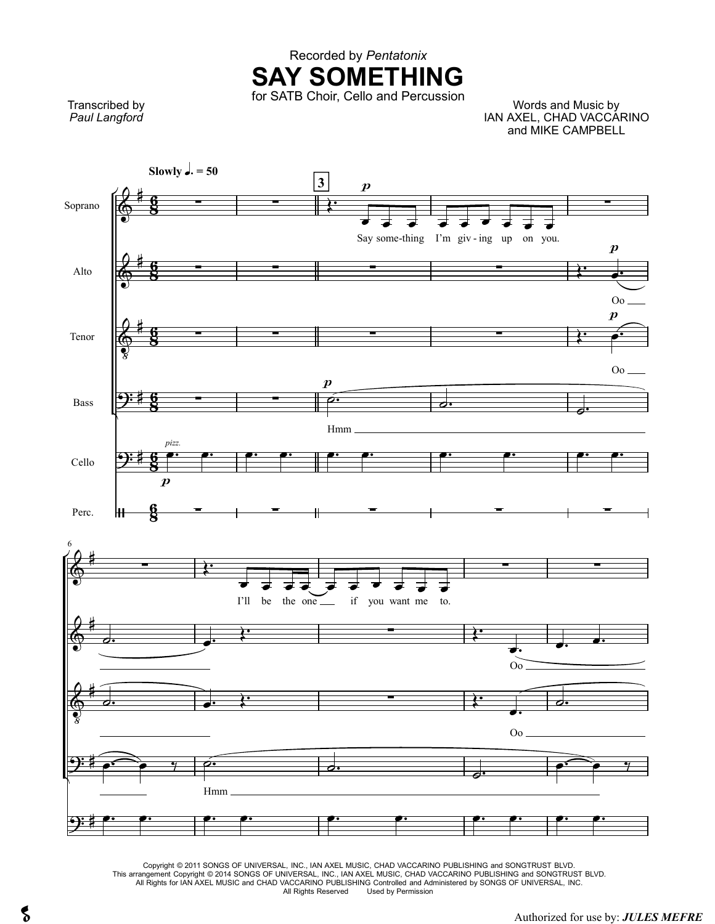Recorded by *Pentatonix*

**SAY SOMETHING**

for SATB Choir, Cello and Percussion

Transcribed by *Paul Langford*

Words and Music by IAN AXEL, CHAD VACCARINO and MIKE CAMPBELL



All rights reserved beed by Permission<br>
Authorized for use by: *JULES MEFRE* Copyright © 2011 SONGS OF UNIVERSAL, INC., IAN AXEL MUSIC, CHAD VACCARINO PUBLISHING and SONGTRUST BLVD. This arrangement Copyright © 2014 SONGS OF UNIVERSAL, INC., IAN AXEL MUSIC, CHAD VACCARINO PUBLISHING and SONGTRUST BLVD.<br>All Rights for IAN AXEL MUSIC and CHAD VACCARINO PUBLISHING Controlled and Administered by SONGS OF All Rights Reserved Used by Permission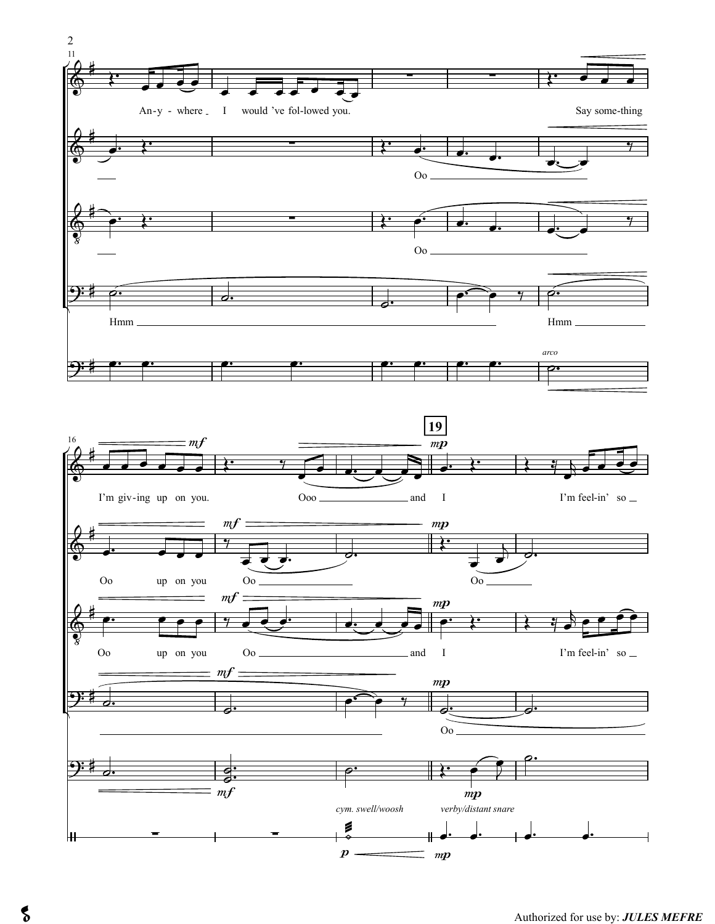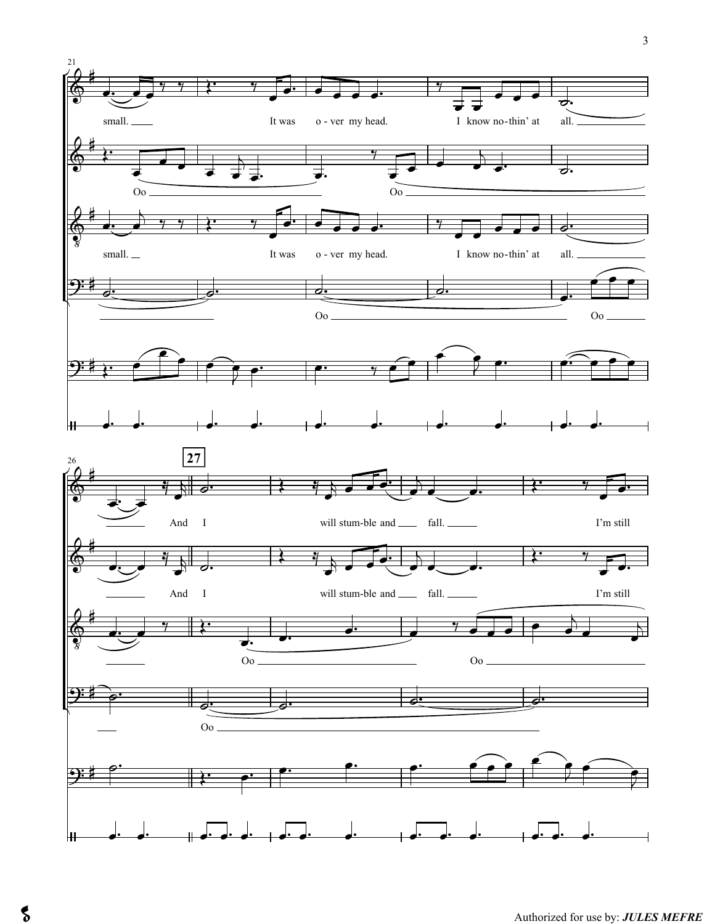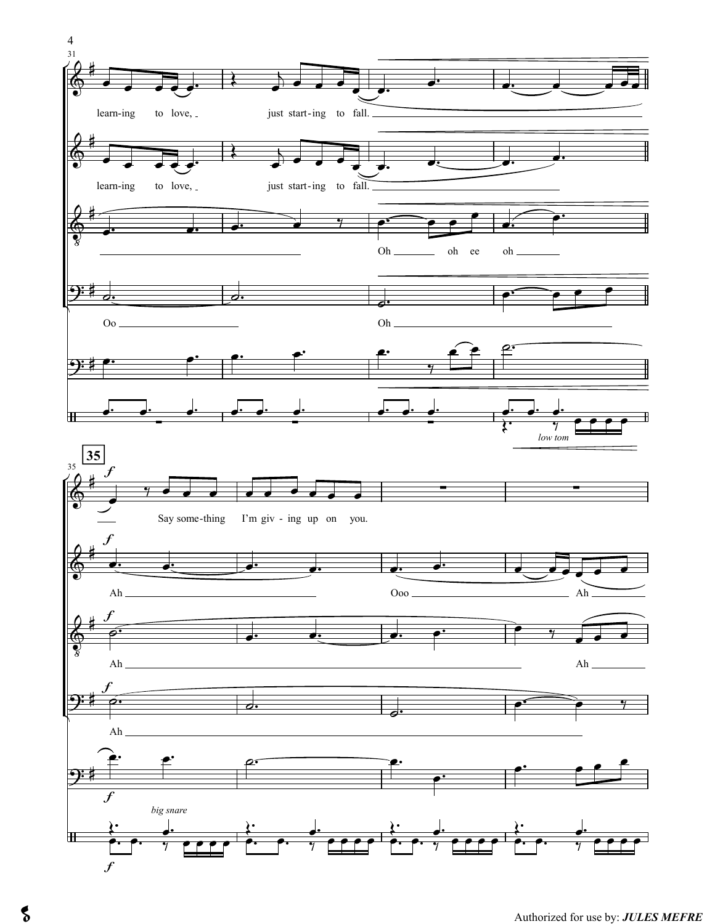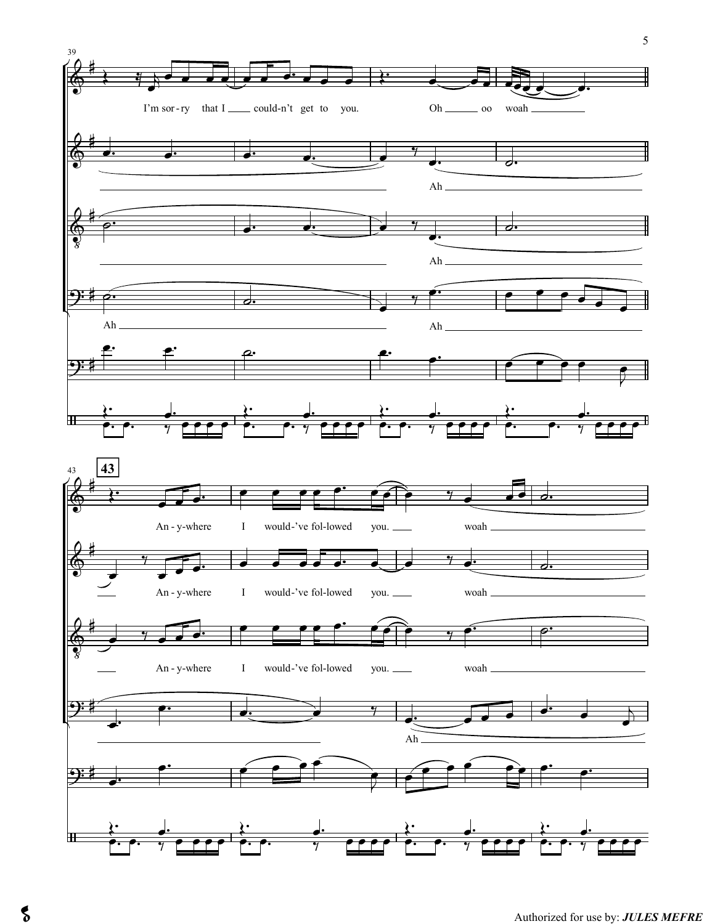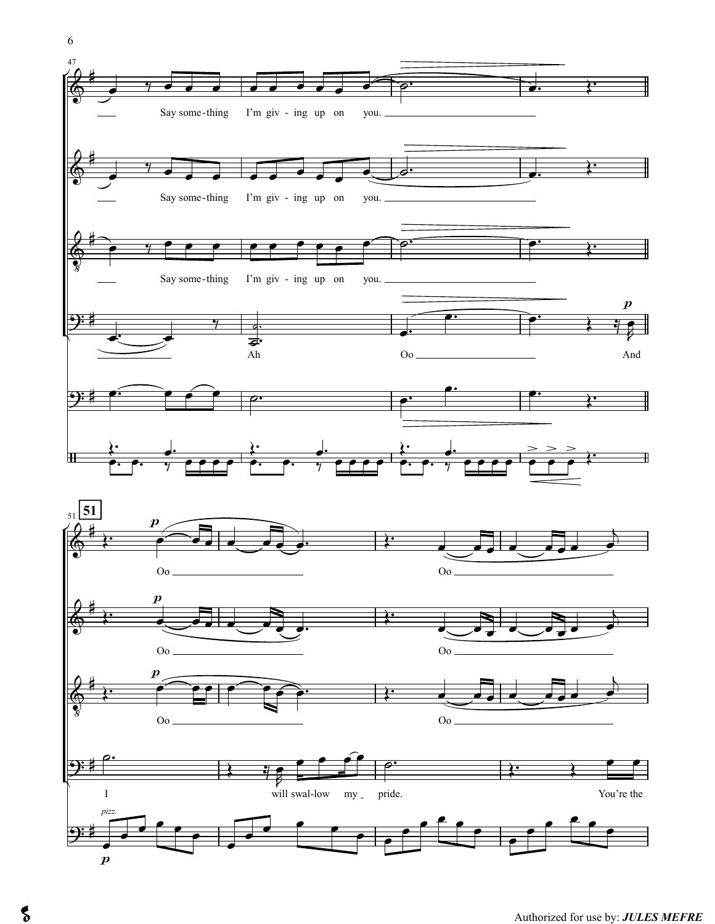6

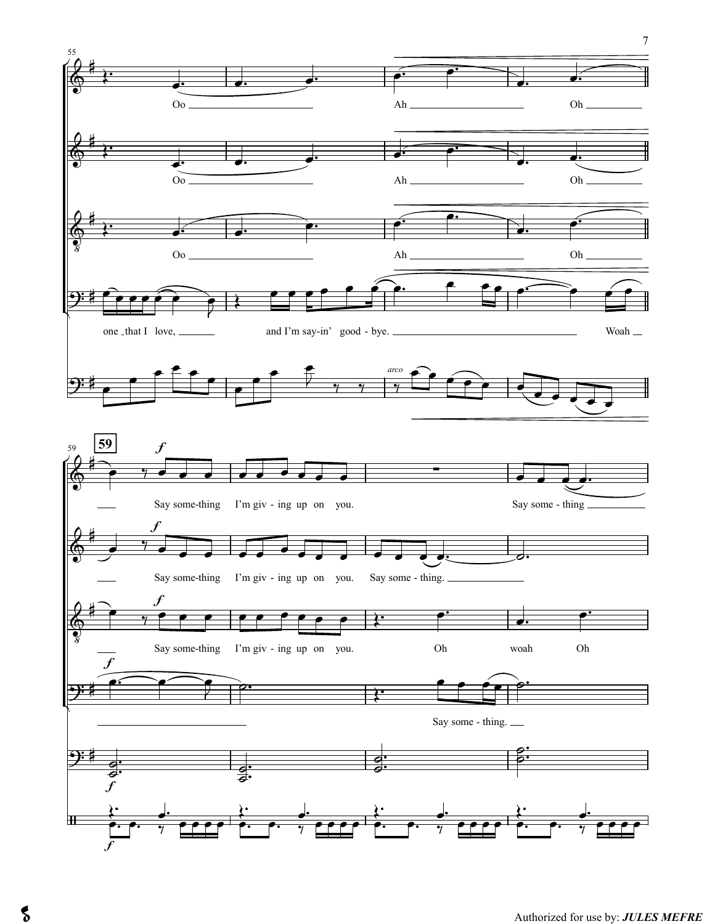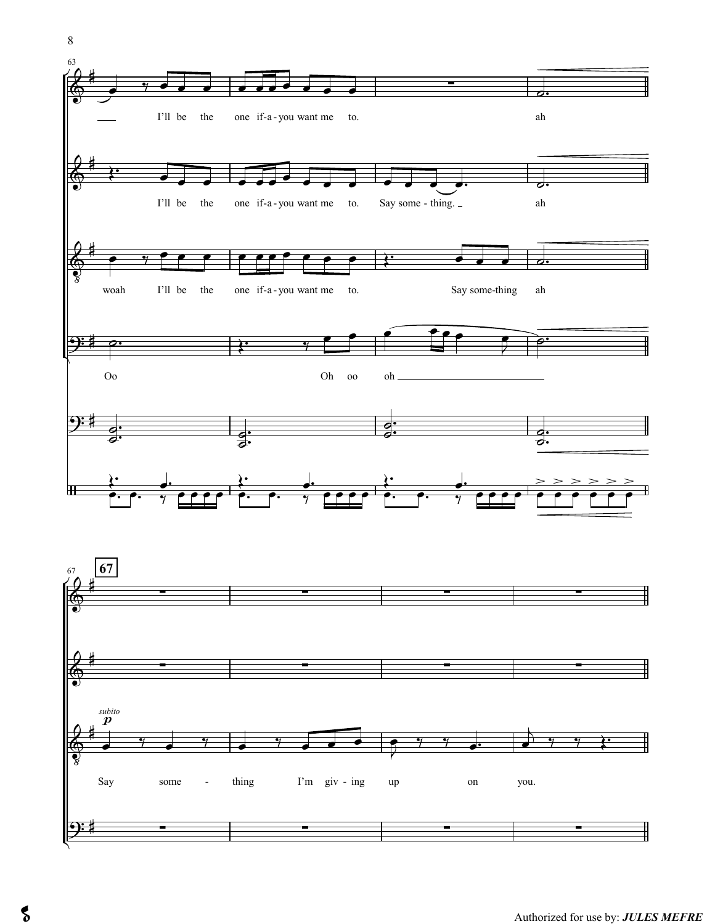

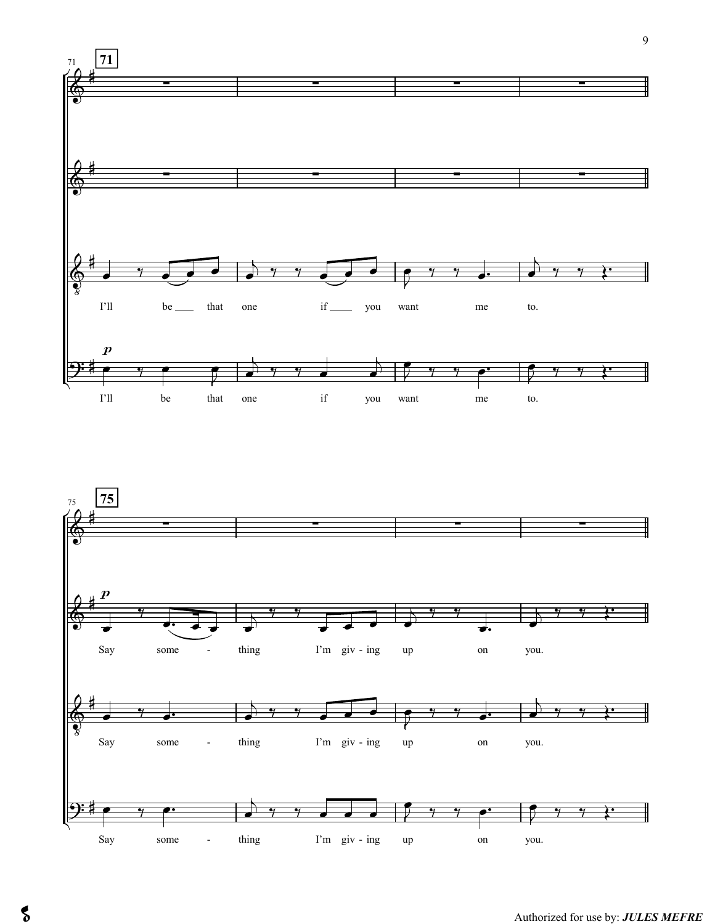

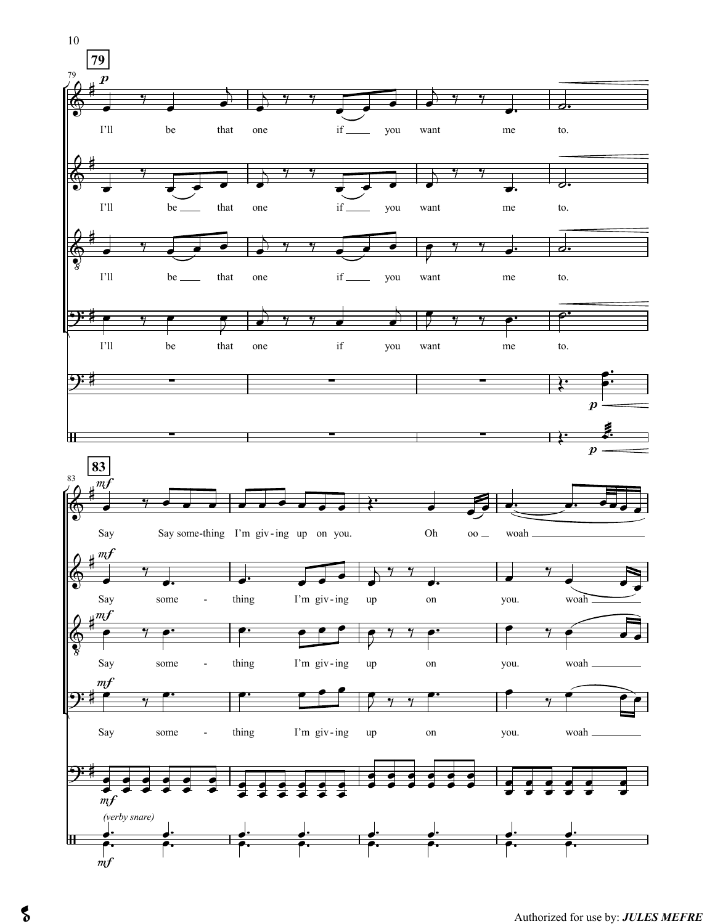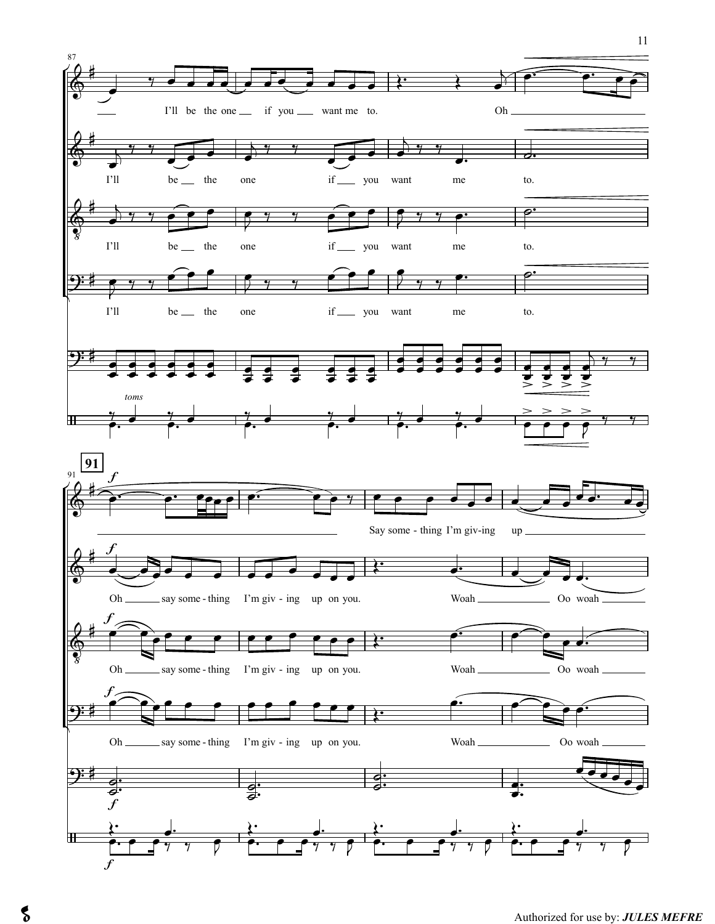87 Oh I'll be the one <u>if</u> you <u>e</u> want me to. I'll be <u>s</u> the one if you want me to. I'll one be <u>s</u> the if you want me to.  $\boldsymbol{\varphi}$ : I'll to. be <u>s</u> the one if you want me *toms* 旺  $\frac{y}{1}$ **91** 91 Say some - thing I'm giv-ing up Oh Woah say some - thing I'm giv - ing up on you. Oo woah  $f$ Oh Woah say some - thing I'm giv - ing up on you. Oo woah  $f_{\scriptscriptstyle\mathcal{E}}$ Woah Oh \_\_\_\_\_\_\_\_ say some - thing I'm giv - ing up on you. Oo woah 9: 1 G o बै €  $\boldsymbol{f}$  $\frac{\sqrt{2}}{2}$ 旺  $\exists$  $\overline{f}$ 

11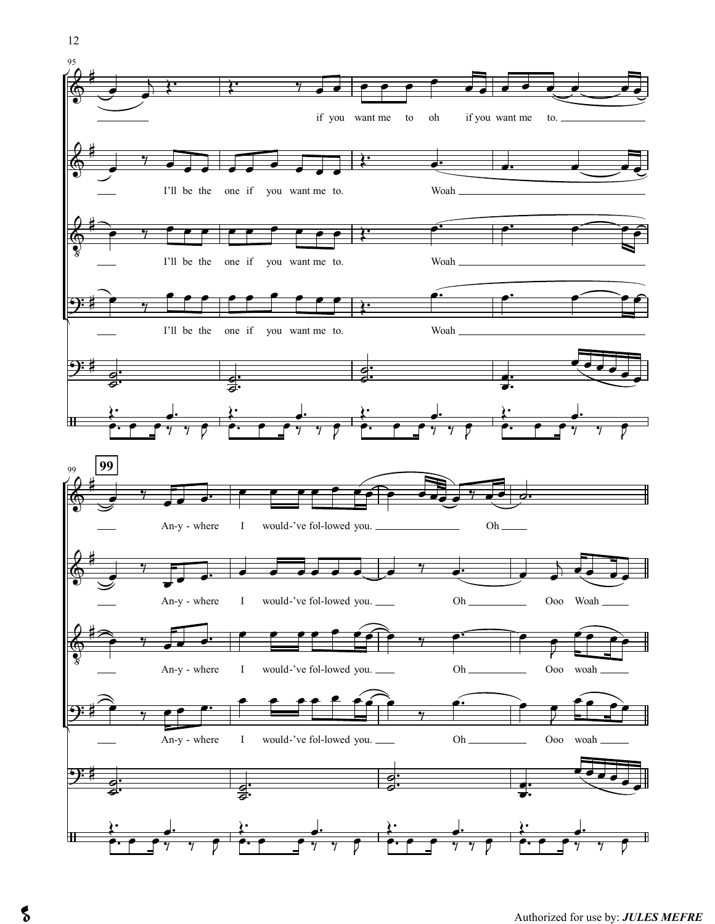